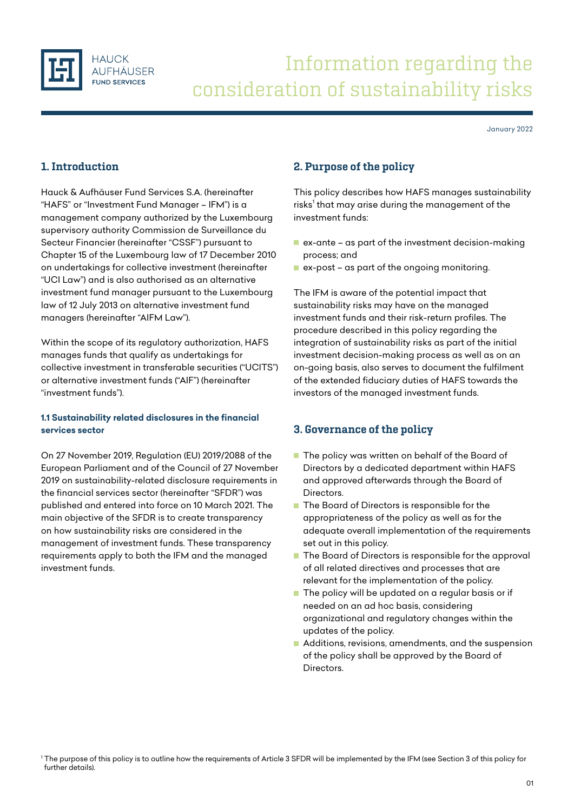

# Information regarding the consideration of sustainability risks

January 2022

# 1. Introduction

Hauck & Aufhäuser Fund Services S.A. (hereinafter "HAFS" or "Investment Fund Manager – IFM") is a management company authorized by the Luxembourg supervisory authority Commission de Surveillance du Secteur Financier (hereinafter "CSSF") pursuant to Chapter 15 of the Luxembourg law of 17 December 2010 on undertakings for collective investment (hereinafter "UCI Law") and is also authorised as an alternative investment fund manager pursuant to the Luxembourg law of 12 July 2013 on alternative investment fund managers (hereinafter "AIFM Law").

Within the scope of its regulatory authorization, HAFS manages funds that qualify as undertakings for collective investment in transferable securities ("UCITS") or alternative investment funds ("AIF") (hereinafter "investment funds").

## **1.1 Sustainability related disclosures in the financial services sector**

On 27 November 2019, Regulation (EU) 2019/2088 of the European Parliament and of the Council of 27 November 2019 on sustainability-related disclosure requirements in the financial services sector (hereinafter "SFDR") was published and entered into force on 10 March 2021. The main objective of the SFDR is to create transparency on how sustainability risks are considered in the management of investment funds. These transparency requirements apply to both the IFM and the managed investment funds.

## 2. Purpose of the policy

This policy describes how HAFS manages sustainability risks<sup>1</sup> that may arise during the management of the investment funds:

- $\blacksquare$  ex-ante as part of the investment decision-making process; and
- $\blacksquare$  ex-post as part of the ongoing monitoring.

The IFM is aware of the potential impact that sustainability risks may have on the managed investment funds and their risk-return profiles. The procedure described in this policy regarding the integration of sustainability risks as part of the initial investment decision-making process as well as on an on-going basis, also serves to document the fulfilment of the extended fiduciary duties of HAFS towards the investors of the managed investment funds.

## 3. Governance of the policy

- The policy was written on behalf of the Board of Directors by a dedicated department within HAFS and approved afterwards through the Board of **Directors**
- The Board of Directors is responsible for the appropriateness of the policy as well as for the adequate overall implementation of the requirements set out in this policy.
- The Board of Directors is responsible for the approval of all related directives and processes that are relevant for the implementation of the policy.
- $\blacksquare$  The policy will be updated on a regular basis or if needed on an ad hoc basis, considering organizational and regulatory changes within the updates of the policy.
- Additions, revisions, amendments, and the suspension of the policy shall be approved by the Board of Directors.

<sup>1</sup> The purpose of this policy is to outline how the requirements of Article 3 SFDR will be implemented by the IFM (see Section 3 of this policy for further details).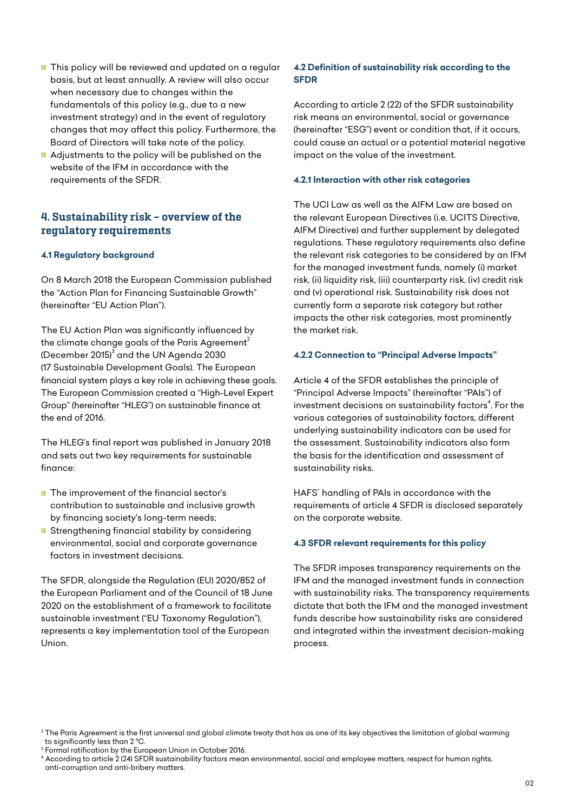- **This policy will be reviewed and updated on a regular** basis, but at least annually. A review will also occur when necessary due to changes within the fundamentals of this policy (e.g., due to a new investment strategy) and in the event of regulatory changes that may affect this policy. Furthermore, the Board of Directors will take note of the policy.
- Adjustments to the policy will be published on the website of the IFM in accordance with the requirements of the SFDR.

## 4. Sustainability risk – overview of the regulatory requirements

#### **4.1 Regulatory background**

On 8 March 2018 the European Commission published the "Action Plan for Financing Sustainable Growth" (hereinafter "EU Action Plan").

The EU Action Plan was significantly influenced by the climate change goals of the Paris Agreement<sup>2</sup> (December 2015) $^3$  and the UN Agenda 2030  $^2$ (17 Sustainable Development Goals). The European financial system plays a key role in achieving these goals. The European Commission created a "High-Level Expert Group" (hereinafter "HLEG") on sustainable finance at the end of 2016.

The HLEG's final report was published in January 2018 and sets out two key requirements for sustainable finance:

- **The improvement of the financial sector's** contribution to sustainable and inclusive growth by financing society's long-term needs;
- **Strengthening financial stability by considering** environmental, social and corporate governance factors in investment decisions.

The SFDR, alongside the Regulation (EU) 2020/852 of the European Parliament and of the Council of 18 June 2020 on the establishment of a framework to facilitate sustainable investment ("EU Taxonomy Regulation"), represents a key implementation tool of the European Union.

## **4.2 Definition of sustainability risk according to the SFDR**

According to article 2 (22) of the SFDR sustainability risk means an environmental, social or governance (hereinafter "ESG") event or condition that, if it occurs, could cause an actual or a potential material negative impact on the value of the investment.

#### **4.2.1 Interaction with other risk categories**

The UCI Law as well as the AIFM Law are based on the relevant European Directives (i.e. UCITS Directive, AIFM Directive) and further supplement by delegated regulations. These regulatory requirements also define the relevant risk categories to be considered by an IFM for the managed investment funds, namely (i) market risk, (ii) liquidity risk, (iii) counterparty risk, (iv) credit risk and (v) operational risk. Sustainability risk does not currently form a separate risk category but rather impacts the other risk categories, most prominently the market risk.

#### **4.2.2 Connection to "Principal Adverse Impacts"**

Article 4 of the SFDR establishes the principle of "Principal Adverse Impacts" (hereinafter "PAIs") of investment decisions on sustainability factors $4$ . For the various categories of sustainability factors, different underlying sustainability indicators can be used for the assessment. Sustainability indicators also form the basis for the identification and assessment of sustainability risks.

HAFS´ handling of PAIs in accordance with the requirements of article 4 SFDR is disclosed separately on the corporate website.

#### **4.3 SFDR relevant requirements for this policy**

The SFDR imposes transparency requirements on the IFM and the managed investment funds in connection with sustainability risks. The transparency requirements dictate that both the IFM and the managed investment funds describe how sustainability risks are considered and integrated within the investment decision-making process.

<sup>&</sup>lt;sup>2</sup> The Paris Agreement is the first universal and global climate treaty that has as one of its key objectives the limitation of global warming to significantly less than 2 °C.

<sup>3</sup> Formal ratification by the European Union in October 2016.

<sup>4</sup> According to article 2 (24) SFDR sustainability factors mean environmental, social and employee matters, respect for human rights, anti-corruption and anti-bribery matters.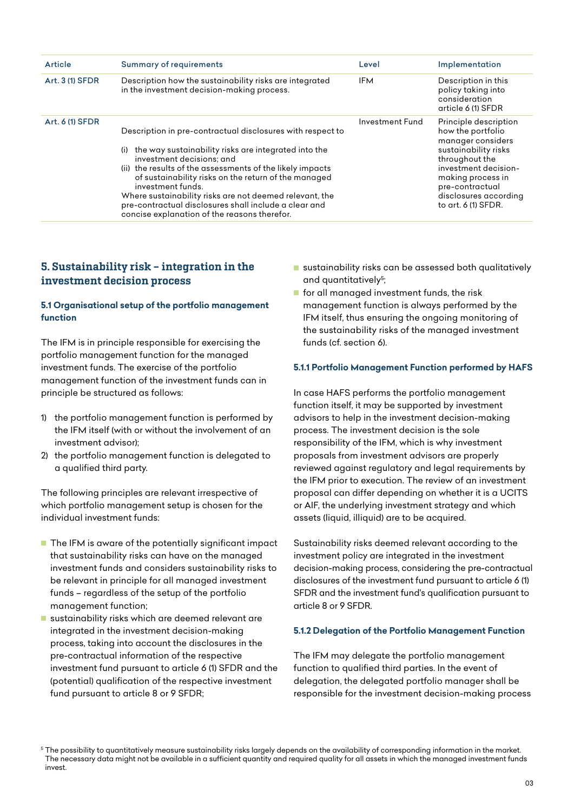| Article         | <b>Summary of requirements</b>                                                                                                                                                                                                                                                                                                                                                                                                                                       | Level                  | Implementation                                                                                                                                                                                                            |
|-----------------|----------------------------------------------------------------------------------------------------------------------------------------------------------------------------------------------------------------------------------------------------------------------------------------------------------------------------------------------------------------------------------------------------------------------------------------------------------------------|------------------------|---------------------------------------------------------------------------------------------------------------------------------------------------------------------------------------------------------------------------|
| Art. 3 (1) SFDR | Description how the sustainability risks are integrated<br>in the investment decision-making process.                                                                                                                                                                                                                                                                                                                                                                | <b>IFM</b>             | Description in this<br>policy taking into<br>consideration<br>article 6 (1) SFDR                                                                                                                                          |
| Art. 6 (1) SFDR | Description in pre-contractual disclosures with respect to<br>the way sustainability risks are integrated into the<br>(i)<br>investment decisions; and<br>(ii) the results of the assessments of the likely impacts<br>of sustainability risks on the return of the managed<br>investment funds.<br>Where sustainability risks are not deemed relevant, the<br>pre-contractual disclosures shall include a clear and<br>concise explanation of the reasons therefor. | <b>Investment Fund</b> | Principle description<br>how the portfolio<br>manager considers<br>sustainability risks<br>throughout the<br>investment decision-<br>making process in<br>pre-contractual<br>disclosures according<br>to art. 6 (1) SFDR. |

## 5. Sustainability risk – integration in the investment decision process

### **5.1 Organisational setup of the portfolio management function**

The IFM is in principle responsible for exercising the portfolio management function for the managed investment funds. The exercise of the portfolio management function of the investment funds can in principle be structured as follows:

- 1) the portfolio management function is performed by the IFM itself (with or without the involvement of an investment advisor);
- 2) the portfolio management function is delegated to a qualified third party.

The following principles are relevant irrespective of which portfolio management setup is chosen for the individual investment funds:

- $\blacksquare$  The IFM is aware of the potentially significant impact that sustainability risks can have on the managed investment funds and considers sustainability risks to be relevant in principle for all managed investment funds – regardless of the setup of the portfolio management function;
- sustainability risks which are deemed relevant are integrated in the investment decision-making process, taking into account the disclosures in the pre-contractual information of the respective investment fund pursuant to article 6 (1) SFDR and the (potential) qualification of the respective investment fund pursuant to article 8 or 9 SFDR;
- sustainability risks can be assessed both qualitatively and quantitatively<sup>5</sup>;
- **F** for all managed investment funds, the risk management function is always performed by the IFM itself, thus ensuring the ongoing monitoring of the sustainability risks of the managed investment funds (cf. section 6).

#### **5.1.1 Portfolio Management Function performed by HAFS**

In case HAFS performs the portfolio management function itself, it may be supported by investment advisors to help in the investment decision-making process. The investment decision is the sole responsibility of the IFM, which is why investment proposals from investment advisors are properly reviewed against regulatory and legal requirements by the IFM prior to execution. The review of an investment proposal can differ depending on whether it is a UCITS or AIF, the underlying investment strategy and which assets (liquid, illiquid) are to be acquired.

Sustainability risks deemed relevant according to the investment policy are integrated in the investment decision-making process, considering the pre-contractual disclosures of the investment fund pursuant to article 6 (1) SFDR and the investment fund's qualification pursuant to article 8 or 9 SFDR.

#### **5.1.2 Delegation of the Portfolio Management Function**

The IFM may delegate the portfolio management function to qualified third parties. In the event of delegation, the delegated portfolio manager shall be responsible for the investment decision-making process

<sup>&</sup>lt;sup>5</sup> The possibility to quantitatively measure sustainability risks largely depends on the availability of corresponding information in the market. The necessary data might not be available in a sufficient quantity and required quality for all assets in which the managed investment funds invest.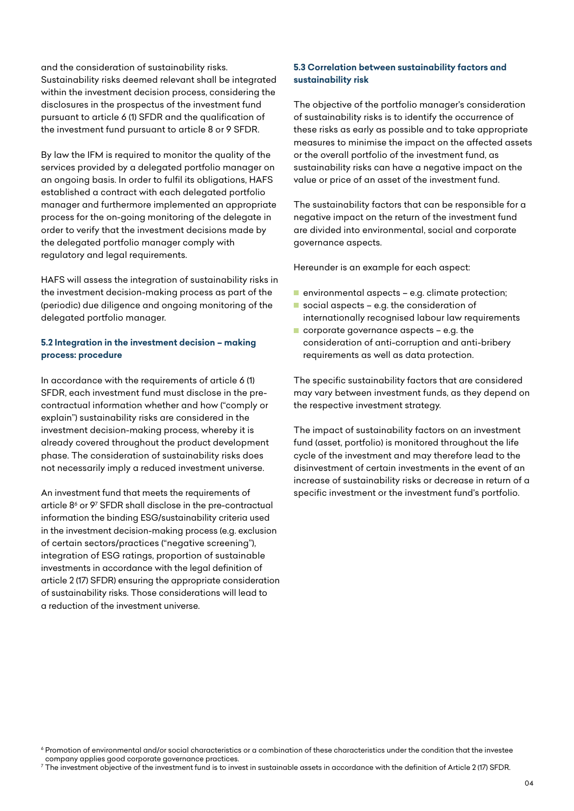and the consideration of sustainability risks. Sustainability risks deemed relevant shall be integrated within the investment decision process, considering the disclosures in the prospectus of the investment fund pursuant to article 6 (1) SFDR and the qualification of the investment fund pursuant to article 8 or 9 SFDR.

By law the IFM is required to monitor the quality of the services provided by a delegated portfolio manager on an ongoing basis. In order to fulfil its obligations, HAFS established a contract with each delegated portfolio manager and furthermore implemented an appropriate process for the on-going monitoring of the delegate in order to verify that the investment decisions made by the delegated portfolio manager comply with regulatory and legal requirements.

HAFS will assess the integration of sustainability risks in the investment decision-making process as part of the (periodic) due diligence and ongoing monitoring of the delegated portfolio manager.

## **5.2 Integration in the investment decision – making process: procedure**

In accordance with the requirements of article 6 (1) SFDR, each investment fund must disclose in the precontractual information whether and how ("comply or explain") sustainability risks are considered in the investment decision-making process, whereby it is already covered throughout the product development phase. The consideration of sustainability risks does not necessarily imply a reduced investment universe.

An investment fund that meets the requirements of article  $8^{\circ}$  or 9 $7$  SFDR shall disclose in the pre-contractual information the binding ESG/sustainability criteria used in the investment decision-making process (e.g. exclusion of certain sectors/practices ("negative screening"), integration of ESG ratings, proportion of sustainable investments in accordance with the legal definition of article 2 (17) SFDR) ensuring the appropriate consideration of sustainability risks. Those considerations will lead to a reduction of the investment universe.

## **5.3 Correlation between sustainability factors and sustainability risk**

The objective of the portfolio manager's consideration of sustainability risks is to identify the occurrence of these risks as early as possible and to take appropriate measures to minimise the impact on the affected assets or the overall portfolio of the investment fund, as sustainability risks can have a negative impact on the value or price of an asset of the investment fund.

The sustainability factors that can be responsible for a negative impact on the return of the investment fund are divided into environmental, social and corporate governance aspects.

Hereunder is an example for each aspect:

- **E** environmental aspects e.g. climate protection;
- social aspects e.g. the consideration of internationally recognised labour law requirements
- corporate governance aspects e.g. the consideration of anti-corruption and anti-bribery requirements as well as data protection.

The specific sustainability factors that are considered may vary between investment funds, as they depend on the respective investment strategy.

The impact of sustainability factors on an investment fund (asset, portfolio) is monitored throughout the life cycle of the investment and may therefore lead to the disinvestment of certain investments in the event of an increase of sustainability risks or decrease in return of a specific investment or the investment fund's portfolio.

<sup>6</sup> Promotion of environmental and/or social characteristics or a combination of these characteristics under the condition that the investee company applies good corporate governance practices.

 $^7$  The investment objective of the investment fund is to invest in sustainable assets in accordance with the definition of Article 2 (17) SFDR.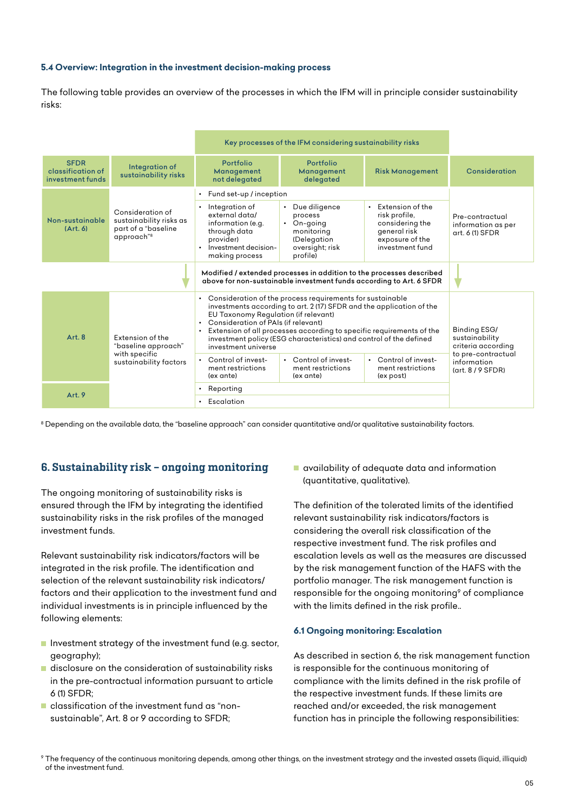#### **5.4 Overview: Integration in the investment decision-making process**

The following table provides an overview of the processes in which the IFM will in principle consider sustainability risks:

|                                                                                                                                             |                                                                                              | Key processes of the IFM considering sustainability risks                                                                                                                                                                                                                                                                                                                                            |                                                                                                            |                                                                                                                         |                                                                  |
|---------------------------------------------------------------------------------------------------------------------------------------------|----------------------------------------------------------------------------------------------|------------------------------------------------------------------------------------------------------------------------------------------------------------------------------------------------------------------------------------------------------------------------------------------------------------------------------------------------------------------------------------------------------|------------------------------------------------------------------------------------------------------------|-------------------------------------------------------------------------------------------------------------------------|------------------------------------------------------------------|
| <b>SFDR</b><br>classification of<br>investment funds                                                                                        | Integration of<br>sustainability risks                                                       | Portfolio<br>Management<br>not delegated                                                                                                                                                                                                                                                                                                                                                             | <b>Portfolio</b><br>Management<br>delegated                                                                | <b>Risk Management</b>                                                                                                  | Consideration                                                    |
|                                                                                                                                             |                                                                                              | Fund set-up / inception                                                                                                                                                                                                                                                                                                                                                                              |                                                                                                            |                                                                                                                         |                                                                  |
| Non-sustainable<br>(Art, 6)                                                                                                                 | Consideration of<br>sustainability risks as<br>part of a "baseline<br>approach" <sup>8</sup> | Integration of<br>external data/<br>information (e.g.<br>through data<br>provider)<br>Investment decision-<br>making process                                                                                                                                                                                                                                                                         | • Due diligence<br>process<br>$\cdot$ On-going<br>monitoring<br>(Delegation<br>oversight; risk<br>profile) | Extension of the<br>$\bullet$<br>risk profile,<br>considering the<br>general risk<br>exposure of the<br>investment fund | Pre-contractual<br>information as per<br>art. 6 (1) SFDR         |
| Modified / extended processes in addition to the processes described<br>above for non-sustainable investment funds according to Art. 6 SFDR |                                                                                              |                                                                                                                                                                                                                                                                                                                                                                                                      |                                                                                                            |                                                                                                                         |                                                                  |
| Art. 8                                                                                                                                      | Extension of the<br>"baseline approach"<br>with specific<br>sustainability factors           | Consideration of the process requirements for sustainable<br>$\bullet$<br>investments according to art. 2 (17) SFDR and the application of the<br>EU Taxonomy Regulation (if relevant)<br>• Consideration of PAIs (if relevant)<br>Extension of all processes according to specific requirements of the<br>investment policy (ESG characteristics) and control of the defined<br>investment universe |                                                                                                            |                                                                                                                         | Binding ESG/<br>sustainability<br>criteria according             |
|                                                                                                                                             |                                                                                              | Control of invest-<br>ment restrictions<br>(ex ante)                                                                                                                                                                                                                                                                                                                                                 | • Control of invest-<br>ment restrictions<br>(ex ante)                                                     | • Control of invest-<br>ment restrictions<br>(ex post)                                                                  | to pre-contractual<br>information<br>$(\text{art. } 8 / 9$ SFDR) |
| Art. 9                                                                                                                                      |                                                                                              | Reporting                                                                                                                                                                                                                                                                                                                                                                                            |                                                                                                            |                                                                                                                         |                                                                  |
|                                                                                                                                             |                                                                                              | Escalation                                                                                                                                                                                                                                                                                                                                                                                           |                                                                                                            |                                                                                                                         |                                                                  |

8 Depending on the available data, the "baseline approach" can consider quantitative and/or qualitative sustainability factors.

## 6. Sustainability risk – ongoing monitoring

The ongoing monitoring of sustainability risks is ensured through the IFM by integrating the identified sustainability risks in the risk profiles of the managed investment funds.

Relevant sustainability risk indicators/factors will be integrated in the risk profile. The identification and selection of the relevant sustainability risk indicators/ factors and their application to the investment fund and individual investments is in principle influenced by the following elements:

- **Investment strategy of the investment fund (e.g. sector,** geography);
- $\blacksquare$  disclosure on the consideration of sustainability risks in the pre-contractual information pursuant to article  $6(1)$  SFDR $\cdot$
- **E** classification of the investment fund as "nonsustainable", Art. 8 or 9 according to SFDR;

**a** availability of adequate data and information (quantitative, qualitative).

The definition of the tolerated limits of the identified relevant sustainability risk indicators/factors is considering the overall risk classification of the respective investment fund. The risk profiles and escalation levels as well as the measures are discussed by the risk management function of the HAFS with the portfolio manager. The risk management function is responsible for the ongoing monitoring<sup>9</sup> of compliance with the limits defined in the risk profile..

#### **6.1 Ongoing monitoring: Escalation**

As described in section 6, the risk management function is responsible for the continuous monitoring of compliance with the limits defined in the risk profile of the respective investment funds. If these limits are reached and/or exceeded, the risk management function has in principle the following responsibilities:

<sup>9</sup> The frequency of the continuous monitoring depends, among other things, on the investment strategy and the invested assets (liquid, illiquid) of the investment fund.